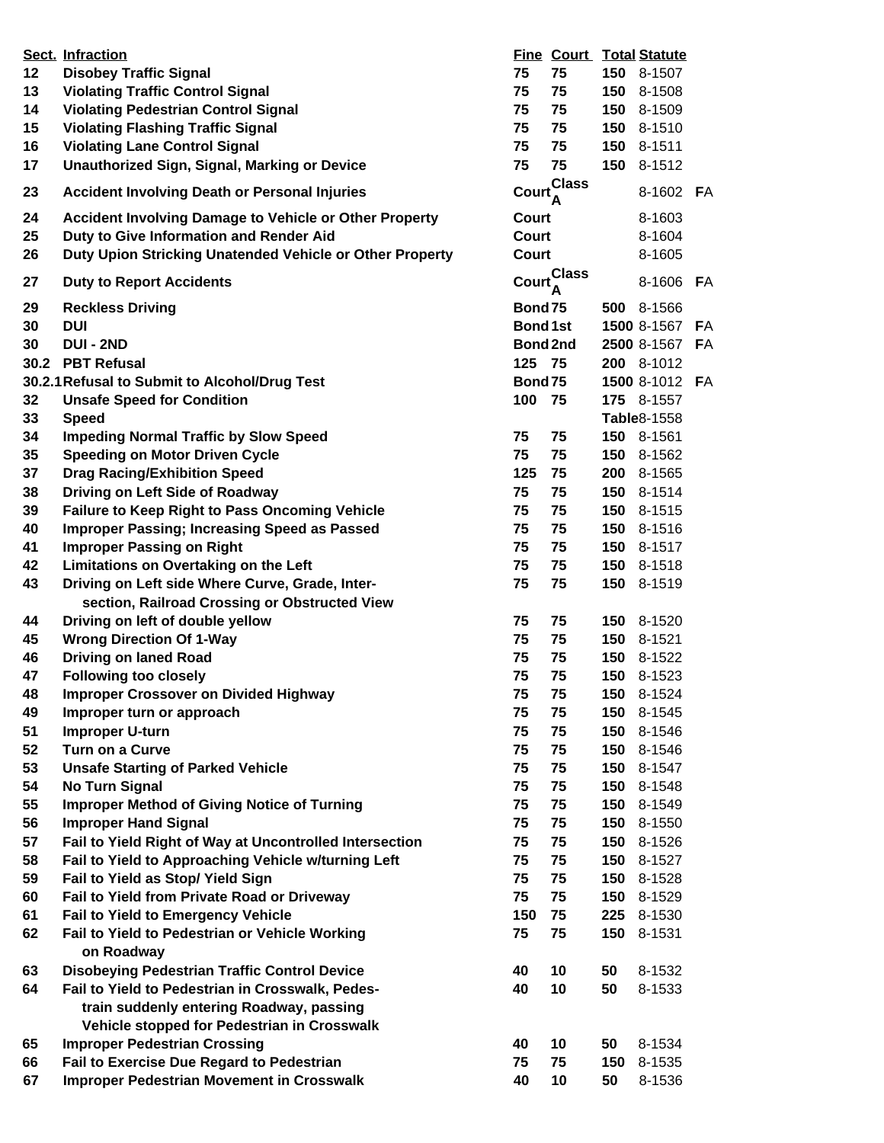|      | Sect. Infraction                                              |                 |                   |     | <b>Fine Court Total Statute</b> |    |
|------|---------------------------------------------------------------|-----------------|-------------------|-----|---------------------------------|----|
| 12   | <b>Disobey Traffic Signal</b>                                 | 75              | 75                |     | 150 8-1507                      |    |
| 13   | <b>Violating Traffic Control Signal</b>                       | 75              | 75                |     | 150 8-1508                      |    |
| 14   | <b>Violating Pedestrian Control Signal</b>                    | 75              | 75                |     | 150 8-1509                      |    |
| 15   | <b>Violating Flashing Traffic Signal</b>                      | 75              | 75                |     | 150 8-1510                      |    |
| 16   | <b>Violating Lane Control Signal</b>                          | 75              | 75                |     | 150 8-1511                      |    |
| 17   | <b>Unauthorized Sign, Signal, Marking or Device</b>           | 75              | 75                |     | 150 8-1512                      |    |
| 23   | <b>Accident Involving Death or Personal Injuries</b>          | <b>Court</b>    | <b>Class</b><br>Ά |     | 8-1602 FA                       |    |
| 24   | <b>Accident Involving Damage to Vehicle or Other Property</b> | Court           |                   |     | 8-1603                          |    |
| 25   | Duty to Give Information and Render Aid                       | Court           |                   |     | 8-1604                          |    |
| 26   | Duty Upion Stricking Unatended Vehicle or Other Property      | Court           |                   |     | 8-1605                          |    |
| 27   | <b>Duty to Report Accidents</b>                               |                 | Court Class       |     | 8-1606                          | FA |
| 29   | <b>Reckless Driving</b>                                       | Bond 75         |                   |     | 500 8-1566                      |    |
| 30   | <b>DUI</b>                                                    | <b>Bond 1st</b> |                   |     | 1500 8-1567                     | FA |
| 30   | <b>DUI - 2ND</b>                                              | Bond 2nd        |                   |     | 2500 8-1567                     | FA |
| 30.2 | <b>PBT Refusal</b>                                            | 125             | 75                |     | 200 8-1012                      |    |
|      | 30.2.1 Refusal to Submit to Alcohol/Drug Test                 | Bond75          |                   |     | 1500 8-1012                     | FA |
| 32   | <b>Unsafe Speed for Condition</b>                             | 100             | 75                |     | 175 8-1557                      |    |
|      |                                                               |                 |                   |     |                                 |    |
| 33   | <b>Speed</b>                                                  |                 |                   |     | <b>Table</b> 8-1558             |    |
| 34   | <b>Impeding Normal Traffic by Slow Speed</b>                  | 75              | 75                |     | 150 8-1561                      |    |
| 35   | <b>Speeding on Motor Driven Cycle</b>                         | 75              | 75                |     | 150 8-1562                      |    |
| 37   | <b>Drag Racing/Exhibition Speed</b>                           | 125             | 75                |     | 200 8-1565                      |    |
| 38   | Driving on Left Side of Roadway                               | 75              | 75                |     | 150 8-1514                      |    |
| 39   | <b>Failure to Keep Right to Pass Oncoming Vehicle</b>         | 75              | 75                |     | 150 8-1515                      |    |
| 40   | <b>Improper Passing; Increasing Speed as Passed</b>           | 75              | 75                |     | 150 8-1516                      |    |
| 41   | <b>Improper Passing on Right</b>                              | 75              | 75                | 150 | 8-1517                          |    |
| 42   | Limitations on Overtaking on the Left                         | 75              | 75                | 150 | 8-1518                          |    |
| 43   | Driving on Left side Where Curve, Grade, Inter-               | 75              | 75                |     | 150 8-1519                      |    |
|      | section, Railroad Crossing or Obstructed View                 |                 |                   |     |                                 |    |
| 44   | Driving on left of double yellow                              | 75              | 75                |     | 150 8-1520                      |    |
| 45   | <b>Wrong Direction Of 1-Way</b>                               | 75              | 75                |     | 150 8-1521                      |    |
| 46   | <b>Driving on laned Road</b>                                  | 75              | 75                |     | 150 8-1522                      |    |
| 47   | <b>Following too closely</b>                                  | 75              | 75                |     | 150 8-1523                      |    |
| 48   | <b>Improper Crossover on Divided Highway</b>                  | 75              | 75                | 150 | 8-1524                          |    |
| 49   | Improper turn or approach                                     | 75              | 75                | 150 | 8-1545                          |    |
| 51   | <b>Improper U-turn</b>                                        | 75              | 75                | 150 | 8-1546                          |    |
| 52   | Turn on a Curve                                               | 75              | 75                | 150 | 8-1546                          |    |
| 53   | <b>Unsafe Starting of Parked Vehicle</b>                      | 75              | 75                | 150 | 8-1547                          |    |
| 54   | <b>No Turn Signal</b>                                         | 75              | 75                |     | 150 8-1548                      |    |
| 55   | <b>Improper Method of Giving Notice of Turning</b>            | 75              | 75                |     | 150 8-1549                      |    |
| 56   | <b>Improper Hand Signal</b>                                   | 75              | 75                |     | 150 8-1550                      |    |
|      |                                                               | 75              |                   |     |                                 |    |
| 57   | Fail to Yield Right of Way at Uncontrolled Intersection       |                 | 75                | 150 | 8-1526                          |    |
| 58   | Fail to Yield to Approaching Vehicle w/turning Left           | 75              | 75                | 150 | 8-1527                          |    |
| 59   | Fail to Yield as Stop/ Yield Sign                             | 75              | 75                | 150 | 8-1528                          |    |
| 60   | Fail to Yield from Private Road or Driveway                   | 75              | 75                | 150 | 8-1529                          |    |
| 61   | <b>Fail to Yield to Emergency Vehicle</b>                     | 150             | 75                |     | 225 8-1530                      |    |
| 62   | Fail to Yield to Pedestrian or Vehicle Working<br>on Roadway  | 75              | 75                | 150 | 8-1531                          |    |
| 63   | <b>Disobeying Pedestrian Traffic Control Device</b>           | 40              | 10                | 50  | 8-1532                          |    |
| 64   | Fail to Yield to Pedestrian in Crosswalk, Pedes-              | 40              | 10                | 50  | 8-1533                          |    |
|      | train suddenly entering Roadway, passing                      |                 |                   |     |                                 |    |
|      | Vehicle stopped for Pedestrian in Crosswalk                   |                 |                   |     |                                 |    |
| 65   | <b>Improper Pedestrian Crossing</b>                           | 40              | 10                | 50  | 8-1534                          |    |
| 66   | Fail to Exercise Due Regard to Pedestrian                     | 75              | 75                | 150 | 8-1535                          |    |
| 67   | <b>Improper Pedestrian Movement in Crosswalk</b>              | 40              | 10                | 50  | 8-1536                          |    |
|      |                                                               |                 |                   |     |                                 |    |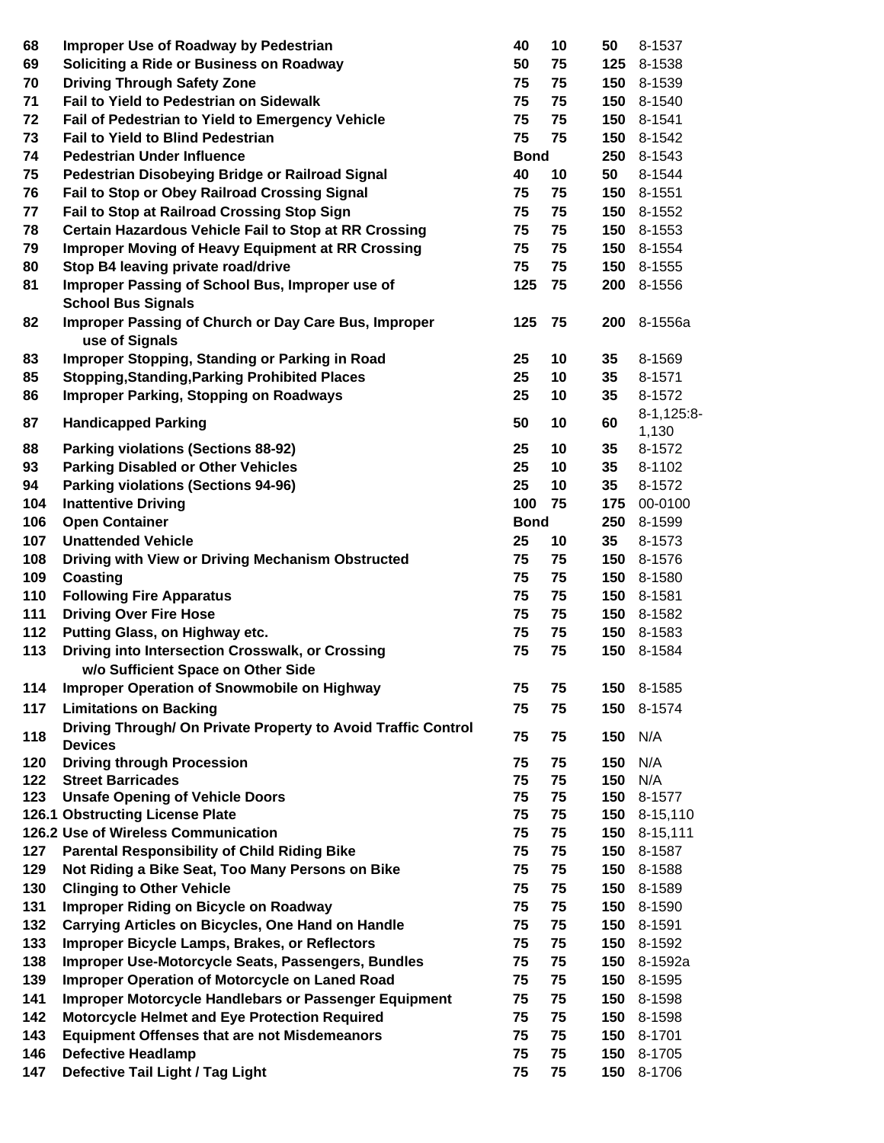| 68         | <b>Improper Use of Roadway by Pedestrian</b>                                 | 40          | 10       | 50         | 8-1537                 |
|------------|------------------------------------------------------------------------------|-------------|----------|------------|------------------------|
| 69         | Soliciting a Ride or Business on Roadway                                     | 50          | 75       | 125        | 8-1538                 |
| 70         | <b>Driving Through Safety Zone</b>                                           | 75          | 75       | 150        | 8-1539                 |
| 71         | <b>Fail to Yield to Pedestrian on Sidewalk</b>                               | 75          | 75       | 150        | 8-1540                 |
| 72         | Fail of Pedestrian to Yield to Emergency Vehicle                             | 75          | 75       | 150        | 8-1541                 |
| 73         | <b>Fail to Yield to Blind Pedestrian</b>                                     | 75          | 75       | 150        | 8-1542                 |
| 74         | <b>Pedestrian Under Influence</b>                                            | <b>Bond</b> |          | 250        | 8-1543                 |
| 75         | Pedestrian Disobeying Bridge or Railroad Signal                              | 40          | 10       | 50         | 8-1544                 |
| 76         | Fail to Stop or Obey Railroad Crossing Signal                                | 75          | 75       | 150        | 8-1551                 |
| 77         | Fail to Stop at Railroad Crossing Stop Sign                                  | 75          | 75       | 150        | 8-1552                 |
| 78         | <b>Certain Hazardous Vehicle Fail to Stop at RR Crossing</b>                 | 75          | 75       | 150        | 8-1553                 |
| 79         | <b>Improper Moving of Heavy Equipment at RR Crossing</b>                     | 75          | 75       | 150        | 8-1554                 |
| 80         | Stop B4 leaving private road/drive                                           | 75          | 75       | 150        | 8-1555                 |
| 81         | Improper Passing of School Bus, Improper use of<br><b>School Bus Signals</b> | 125         | 75       | 200        | 8-1556                 |
| 82         | Improper Passing of Church or Day Care Bus, Improper                         | 125         | 75       | 200        | 8-1556a                |
|            | use of Signals                                                               |             |          |            |                        |
| 83         | Improper Stopping, Standing or Parking in Road                               | 25          | 10       | 35         | 8-1569                 |
| 85         | <b>Stopping, Standing, Parking Prohibited Places</b>                         | 25          | 10       | 35         | 8-1571                 |
| 86         | <b>Improper Parking, Stopping on Roadways</b>                                | 25          | 10       | 35         | 8-1572                 |
| 87         | <b>Handicapped Parking</b>                                                   | 50          | 10       | 60         | $8-1, 125:8-$<br>1,130 |
| 88         | <b>Parking violations (Sections 88-92)</b>                                   | 25          | 10       | 35         | 8-1572                 |
| 93         | <b>Parking Disabled or Other Vehicles</b>                                    | 25          | 10       | 35         | 8-1102                 |
| 94         | <b>Parking violations (Sections 94-96)</b>                                   | 25          | 10       | 35         | 8-1572                 |
| 104        | <b>Inattentive Driving</b>                                                   | 100         | 75       | 175        | 00-0100                |
| 106        | <b>Open Container</b>                                                        | <b>Bond</b> |          | 250        | 8-1599                 |
| 107        | <b>Unattended Vehicle</b>                                                    | 25          | 10       | 35         | 8-1573                 |
| 108        | Driving with View or Driving Mechanism Obstructed                            | 75          | 75       | 150        | 8-1576                 |
| 109        | Coasting                                                                     | 75          | 75       | 150        | 8-1580                 |
| 110        | <b>Following Fire Apparatus</b>                                              | 75          | 75       | 150        | 8-1581                 |
| 111        | <b>Driving Over Fire Hose</b>                                                | 75          | 75       | 150        | 8-1582                 |
| 112        | Putting Glass, on Highway etc.                                               | 75          | 75       | 150        | 8-1583                 |
| 113        | Driving into Intersection Crosswalk, or Crossing                             | 75          | 75       | 150        | 8-1584                 |
|            | w/o Sufficient Space on Other Side                                           |             |          |            |                        |
| 114        | <b>Improper Operation of Snowmobile on Highway</b>                           | 75          | 75       | 150        | 8-1585                 |
| 117        | <b>Limitations on Backing</b>                                                | 75          | 75       | 150        | 8-1574                 |
|            | Driving Through/ On Private Property to Avoid Traffic Control                |             |          |            |                        |
| 118        | <b>Devices</b><br><b>Driving through Procession</b>                          | 75          | 75       | 150        | N/A<br>N/A             |
| 120<br>122 | <b>Street Barricades</b>                                                     | 75<br>75    | 75<br>75 | 150<br>150 | N/A                    |
| 123        | <b>Unsafe Opening of Vehicle Doors</b>                                       | 75          | 75       | 150        | 8-1577                 |
|            | 126.1 Obstructing License Plate                                              | 75          | 75       | 150        | 8-15,110               |
|            | 126.2 Use of Wireless Communication                                          | 75          | 75       | 150        | $8 - 15,111$           |
| 127        | <b>Parental Responsibility of Child Riding Bike</b>                          | 75          | 75       | 150        | 8-1587                 |
| 129        | Not Riding a Bike Seat, Too Many Persons on Bike                             | 75          | 75       | 150        | 8-1588                 |
| 130        | <b>Clinging to Other Vehicle</b>                                             | 75          | 75       | 150        | 8-1589                 |
| 131        | Improper Riding on Bicycle on Roadway                                        | 75          | 75       | 150        | 8-1590                 |
| 132        | <b>Carrying Articles on Bicycles, One Hand on Handle</b>                     | 75          | 75       | 150        | 8-1591                 |
| 133        | Improper Bicycle Lamps, Brakes, or Reflectors                                | 75          | 75       | 150        | 8-1592                 |
| 138        | Improper Use-Motorcycle Seats, Passengers, Bundles                           | 75          | 75       | 150        | 8-1592a                |
| 139        | <b>Improper Operation of Motorcycle on Laned Road</b>                        | 75          | 75       | 150        | 8-1595                 |
| 141        | Improper Motorcycle Handlebars or Passenger Equipment                        | 75          | 75       | 150        | 8-1598                 |
| 142        | <b>Motorcycle Helmet and Eye Protection Required</b>                         | 75          | 75       | 150        | 8-1598                 |
| 143        | <b>Equipment Offenses that are not Misdemeanors</b>                          | 75          | 75       | 150        | 8-1701                 |
| 146        | <b>Defective Headlamp</b>                                                    | 75          | 75       | 150        | 8-1705                 |
| 147        | Defective Tail Light / Tag Light                                             | 75          | 75       | 150        | 8-1706                 |
|            |                                                                              |             |          |            |                        |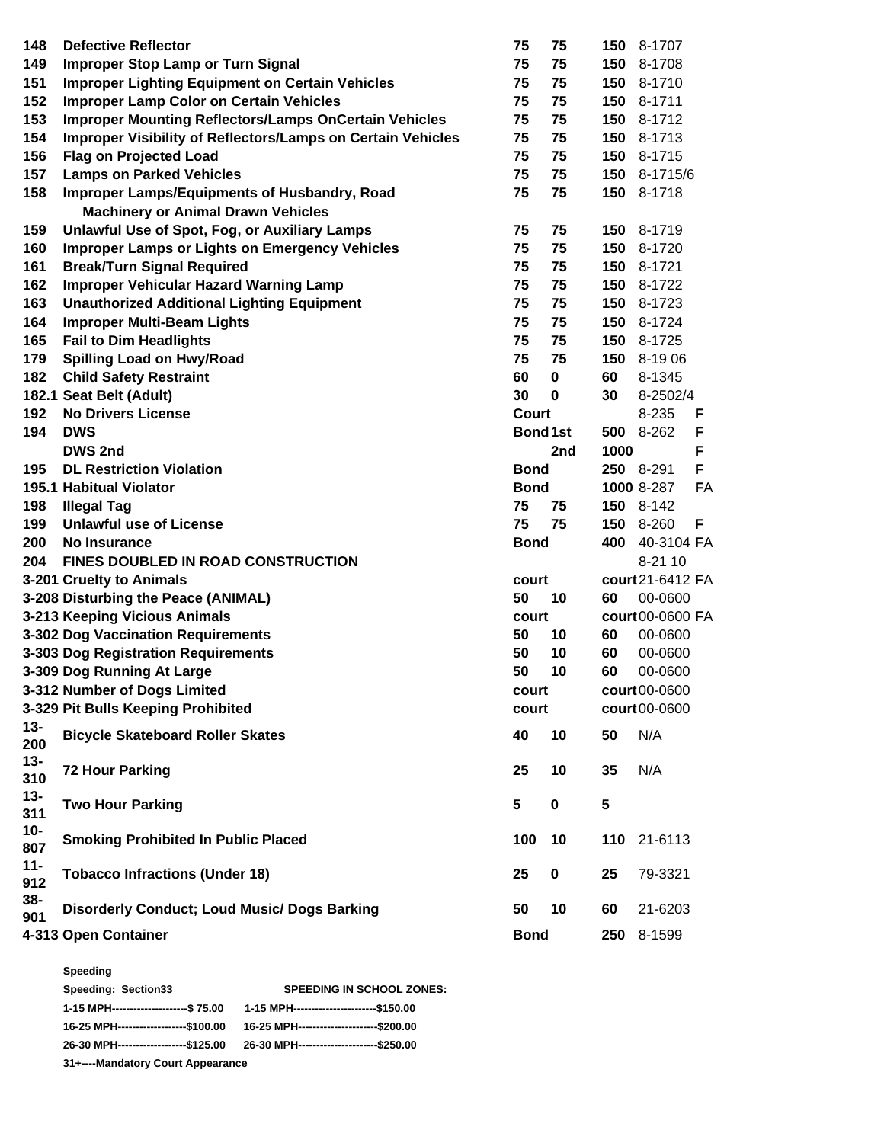| 148           | <b>Defective Reflector</b>                                                                       | 75             | 75          |      | 150 8-1707       |    |
|---------------|--------------------------------------------------------------------------------------------------|----------------|-------------|------|------------------|----|
| 149           | <b>Improper Stop Lamp or Turn Signal</b>                                                         | 75             | 75          | 150  | 8-1708           |    |
| 151           | <b>Improper Lighting Equipment on Certain Vehicles</b>                                           | 75             | 75          |      | 150 8-1710       |    |
| 152           | <b>Improper Lamp Color on Certain Vehicles</b>                                                   | 75             | 75          |      | 150 8-1711       |    |
| 153           | <b>Improper Mounting Reflectors/Lamps OnCertain Vehicles</b>                                     | 75             | 75          |      | 150 8-1712       |    |
| 154           | Improper Visibility of Reflectors/Lamps on Certain Vehicles                                      | 75             | 75          | 150  | 8-1713           |    |
| 156           | <b>Flag on Projected Load</b>                                                                    | 75             | 75          | 150  | 8-1715           |    |
| 157           | <b>Lamps on Parked Vehicles</b>                                                                  | 75             | 75          | 150  | 8-1715/6         |    |
| 158           | <b>Improper Lamps/Equipments of Husbandry, Road</b><br><b>Machinery or Animal Drawn Vehicles</b> | 75             | 75          | 150  | 8-1718           |    |
| 159           | Unlawful Use of Spot, Fog, or Auxiliary Lamps                                                    | 75             | 75          | 150  | 8-1719           |    |
| 160           | <b>Improper Lamps or Lights on Emergency Vehicles</b>                                            | 75             | 75          |      | 150 8-1720       |    |
| 161           | <b>Break/Turn Signal Required</b>                                                                | 75             | 75          | 150  | 8-1721           |    |
| 162           | <b>Improper Vehicular Hazard Warning Lamp</b>                                                    | 75             | 75          | 150  | 8-1722           |    |
| 163           | <b>Unauthorized Additional Lighting Equipment</b>                                                | 75             | 75          | 150  | 8-1723           |    |
| 164           |                                                                                                  | 75             | 75          | 150  | 8-1724           |    |
| 165           | <b>Improper Multi-Beam Lights</b>                                                                | 75             | 75          | 150  |                  |    |
|               | <b>Fail to Dim Headlights</b>                                                                    |                |             |      | 8-1725           |    |
| 179           | <b>Spilling Load on Hwy/Road</b>                                                                 | 75             | 75          | 150  | 8-1906           |    |
| 182           | <b>Child Safety Restraint</b>                                                                    | 60             | $\pmb{0}$   | 60   | 8-1345           |    |
|               | 182.1 Seat Belt (Adult)                                                                          | 30             | 0           | 30   | 8-2502/4         |    |
| 192           | <b>No Drivers License</b>                                                                        | Court          |             |      | 8-235            | F  |
| 194           | <b>DWS</b>                                                                                       | <b>Bond1st</b> |             | 500  | 8-262            | F  |
|               | <b>DWS 2nd</b>                                                                                   |                | 2nd         | 1000 |                  | F  |
| 195           | <b>DL Restriction Violation</b>                                                                  | <b>Bond</b>    |             |      | <b>250</b> 8-291 | F  |
|               | 195.1 Habitual Violator                                                                          | <b>Bond</b>    |             |      | 1000 8-287       | FA |
| 198           | <b>Illegal Tag</b>                                                                               | 75             | 75          |      | 150 8-142        |    |
| 199           | <b>Unlawful use of License</b>                                                                   | 75             | 75          | 150  | 8-260            | F  |
| 200           | No Insurance                                                                                     | <b>Bond</b>    |             | 400  | 40-3104 FA       |    |
| 204           | <b>FINES DOUBLED IN ROAD CONSTRUCTION</b>                                                        |                |             |      | 8-21 10          |    |
|               | 3-201 Cruelty to Animals                                                                         | court          |             |      | court 21-6412 FA |    |
|               | 3-208 Disturbing the Peace (ANIMAL)                                                              | 50             | 10          | 60   | 00-0600          |    |
|               | 3-213 Keeping Vicious Animals                                                                    | court          |             |      | court00-0600 FA  |    |
|               | 3-302 Dog Vaccination Requirements                                                               | 50             | 10          | 60   | 00-0600          |    |
|               | 3-303 Dog Registration Requirements                                                              | 50             | 10          | 60   | 00-0600          |    |
|               | 3-309 Dog Running At Large                                                                       | 50             | 10          | 60   | 00-0600          |    |
|               | 3-312 Number of Dogs Limited                                                                     | court          |             |      | court 00-0600    |    |
|               | 3-329 Pit Bulls Keeping Prohibited                                                               | court          |             |      | court00-0600     |    |
| $13 -$<br>200 | <b>Bicycle Skateboard Roller Skates</b>                                                          | 40             | 10          | 50   | N/A              |    |
| $13 -$<br>310 | <b>72 Hour Parking</b>                                                                           | 25             | 10          | 35   | N/A              |    |
| $13 -$<br>311 | <b>Two Hour Parking</b>                                                                          | 5              | $\mathbf 0$ | 5    |                  |    |
| $10-$<br>807  | <b>Smoking Prohibited In Public Placed</b>                                                       | 100            | 10          | 110  | 21-6113          |    |
| $11 -$<br>912 | <b>Tobacco Infractions (Under 18)</b>                                                            | 25             | 0           | 25   | 79-3321          |    |
| 38-<br>901    | <b>Disorderly Conduct; Loud Music/ Dogs Barking</b>                                              | 50             | 10          | 60   | 21-6203          |    |
|               | 4-313 Open Container                                                                             | <b>Bond</b>    |             | 250  | 8-1599           |    |
|               |                                                                                                  |                |             |      |                  |    |

**Speeding**

| Speeding: Section33                   | <b>SPEEDING IN SCHOOL ZONES:</b>                                                  |
|---------------------------------------|-----------------------------------------------------------------------------------|
|                                       | 1-15 MPH----------------------\$ 75.00  1-15 MPH-------------------------\$150.00 |
| 16-25 MPH--------------------\$100.00 | 16-25 MPH------------------------\$200.00                                         |
|                                       | 26-30 MPH--------------------\$125.00  26-30 MPH------------------------\$250.00  |
|                                       |                                                                                   |

**31+----Mandatory Court Appearance**